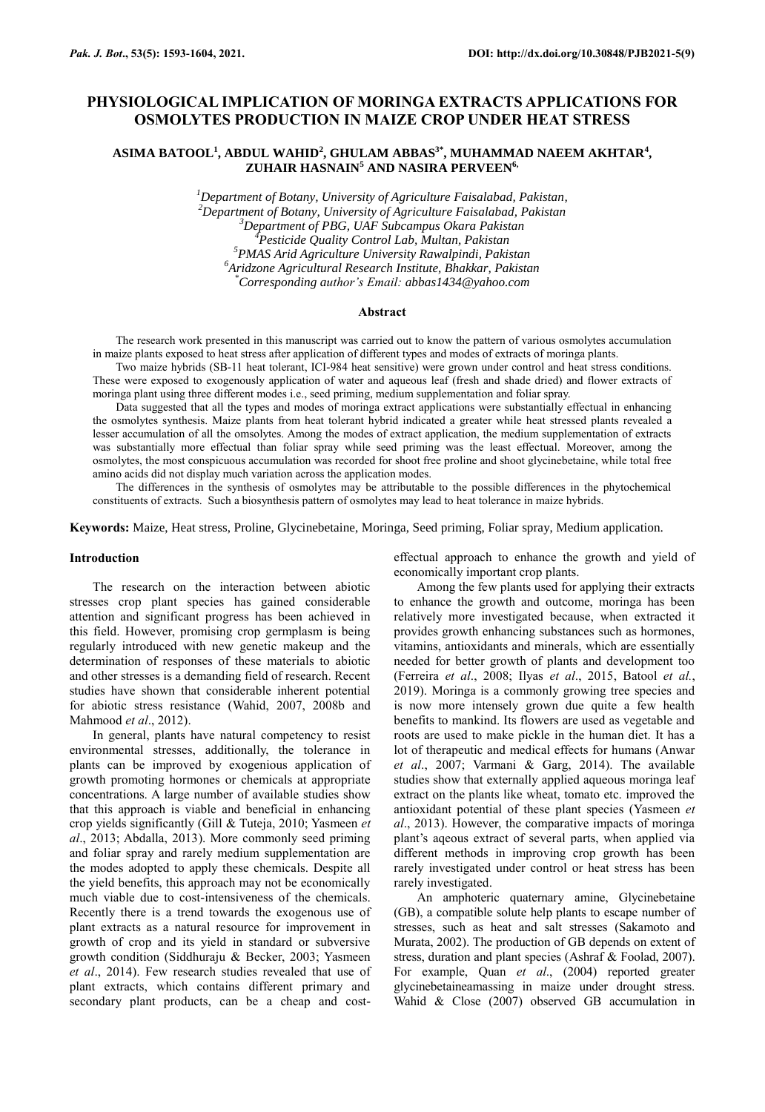# **PHYSIOLOGICAL IMPLICATION OF MORINGA EXTRACTS APPLICATIONS FOR OSMOLYTES PRODUCTION IN MAIZE CROP UNDER HEAT STRESS**

## **ASIMA BATOOL<sup>1</sup> , ABDUL WAHID<sup>2</sup> , GHULAM ABBAS3\* , MUHAMMAD NAEEM AKHTAR<sup>4</sup> , ZUHAIR HASNAIN<sup>5</sup> AND NASIRA PERVEEN6,**

*Department of Botany, University of Agriculture Faisalabad, Pakistan, Department of Botany, University of Agriculture Faisalabad, Pakistan Department of PBG, UAF Subcampus Okara Pakistan Pesticide Quality Control Lab, Multan, Pakistan PMAS Arid Agriculture University Rawalpindi, Pakistan Aridzone Agricultural Research Institute, Bhakkar, Pakistan \*Corresponding author's Email: abbas1434@yahoo.com*

#### **Abstract**

The research work presented in this manuscript was carried out to know the pattern of various osmolytes accumulation in maize plants exposed to heat stress after application of different types and modes of extracts of moringa plants.

Two maize hybrids (SB-11 heat tolerant, ICI-984 heat sensitive) were grown under control and heat stress conditions. These were exposed to exogenously application of water and aqueous leaf (fresh and shade dried) and flower extracts of moringa plant using three different modes i.e., seed priming, medium supplementation and foliar spray.

Data suggested that all the types and modes of moringa extract applications were substantially effectual in enhancing the osmolytes synthesis. Maize plants from heat tolerant hybrid indicated a greater while heat stressed plants revealed a lesser accumulation of all the omsolytes. Among the modes of extract application, the medium supplementation of extracts was substantially more effectual than foliar spray while seed priming was the least effectual. Moreover, among the osmolytes, the most conspicuous accumulation was recorded for shoot free proline and shoot glycinebetaine, while total free amino acids did not display much variation across the application modes.

The differences in the synthesis of osmolytes may be attributable to the possible differences in the phytochemical constituents of extracts. Such a biosynthesis pattern of osmolytes may lead to heat tolerance in maize hybrids.

**Keywords:** Maize, Heat stress, Proline, Glycinebetaine, Moringa, Seed priming, Foliar spray, Medium application.

### **Introduction**

The research on the interaction between abiotic stresses crop plant species has gained considerable attention and significant progress has been achieved in this field. However, promising crop germplasm is being regularly introduced with new genetic makeup and the determination of responses of these materials to abiotic and other stresses is a demanding field of research. Recent studies have shown that considerable inherent potential for abiotic stress resistance (Wahid, 2007, 2008b and Mahmood *et al*., 2012).

In general, plants have natural competency to resist environmental stresses, additionally, the tolerance in plants can be improved by exogenious application of growth promoting hormones or chemicals at appropriate concentrations. A large number of available studies show that this approach is viable and beneficial in enhancing crop yields significantly (Gill & Tuteja, 2010; Yasmeen *et al*., 2013; Abdalla, 2013). More commonly seed priming and foliar spray and rarely medium supplementation are the modes adopted to apply these chemicals. Despite all the yield benefits, this approach may not be economically much viable due to cost-intensiveness of the chemicals. Recently there is a trend towards the exogenous use of plant extracts as a natural resource for improvement in growth of crop and its yield in standard or subversive growth condition (Siddhuraju & Becker, 2003; Yasmeen *et al*., 2014). Few research studies revealed that use of plant extracts, which contains different primary and secondary plant products, can be a cheap and costeffectual approach to enhance the growth and yield of economically important crop plants.

Among the few plants used for applying their extracts to enhance the growth and outcome, moringa has been relatively more investigated because, when extracted it provides growth enhancing substances such as hormones, vitamins, antioxidants and minerals, which are essentially needed for better growth of plants and development too (Ferreira *et al*., 2008; Ilyas *et al*., 2015, Batool *et al.*, 2019). Moringa is a commonly growing tree species and is now more intensely grown due quite a few health benefits to mankind. Its flowers are used as vegetable and roots are used to make pickle in the human diet. It has a lot of therapeutic and medical effects for humans (Anwar *et al*., 2007; Varmani & Garg, 2014). The available studies show that externally applied aqueous moringa leaf extract on the plants like wheat, tomato etc. improved the antioxidant potential of these plant species (Yasmeen *et al*., 2013). However, the comparative impacts of moringa plant's aqeous extract of several parts, when applied via different methods in improving crop growth has been rarely investigated under control or heat stress has been rarely investigated.

An amphoteric quaternary amine, Glycinebetaine (GB), a compatible solute help plants to escape number of stresses, such as heat and salt stresses (Sakamoto and Murata, 2002). The production of GB depends on extent of stress, duration and plant species (Ashraf & Foolad, 2007). For example, Quan *et al*., (2004) reported greater glycinebetaineamassing in maize under drought stress. Wahid & Close (2007) observed GB accumulation in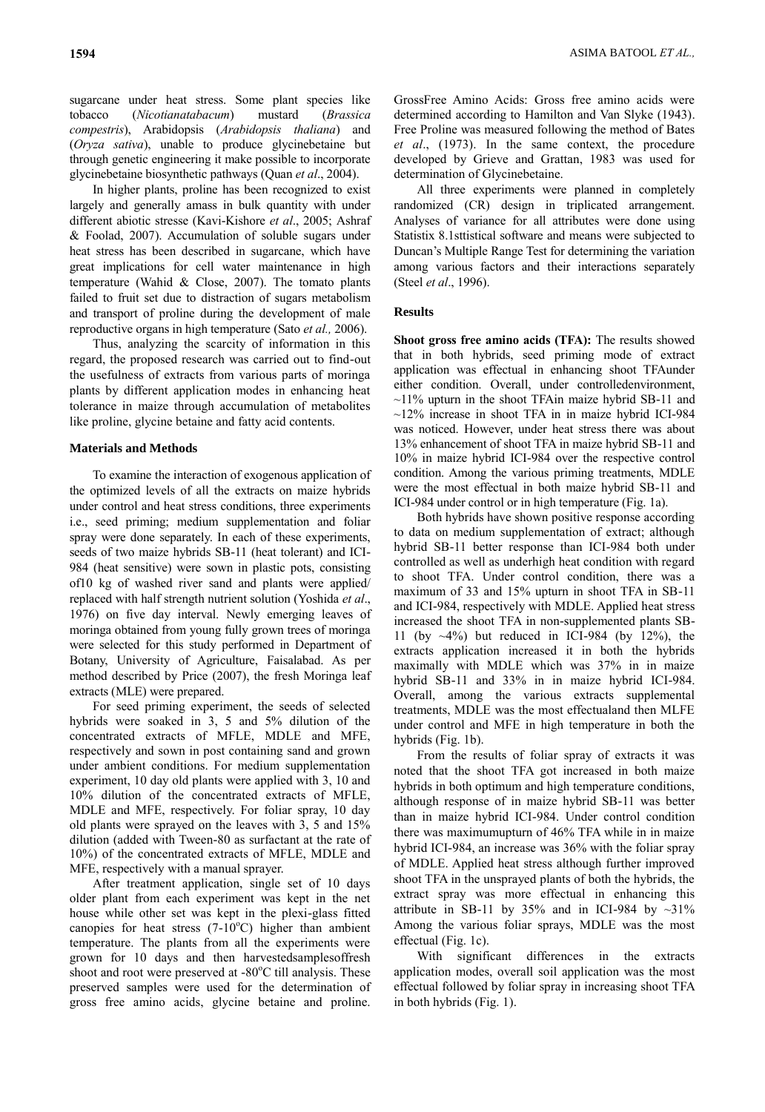sugarcane under heat stress. Some plant species like tobacco (*Nicotianatabacum*) mustard (*Brassica compestris*), Arabidopsis (*Arabidopsis thaliana*) and (*Oryza sativa*), unable to produce glycinebetaine but through genetic engineering it make possible to incorporate glycinebetaine biosynthetic pathways (Quan *et al*., 2004).

In higher plants, proline has been recognized to exist largely and generally amass in bulk quantity with under different abiotic stresse (Kavi-Kishore *et al*., 2005; Ashraf & Foolad, 2007). Accumulation of soluble sugars under heat stress has been described in sugarcane, which have great implications for cell water maintenance in high temperature (Wahid & Close, 2007). The tomato plants failed to fruit set due to distraction of sugars metabolism and transport of proline during the development of male reproductive organs in high temperature (Sato *et al.,* 2006).

Thus, analyzing the scarcity of information in this regard, the proposed research was carried out to find-out the usefulness of extracts from various parts of moringa plants by different application modes in enhancing heat tolerance in maize through accumulation of metabolites like proline, glycine betaine and fatty acid contents.

### **Materials and Methods**

To examine the interaction of exogenous application of the optimized levels of all the extracts on maize hybrids under control and heat stress conditions, three experiments i.e., seed priming; medium supplementation and foliar spray were done separately. In each of these experiments, seeds of two maize hybrids SB-11 (heat tolerant) and ICI-984 (heat sensitive) were sown in plastic pots, consisting of10 kg of washed river sand and plants were applied/ replaced with half strength nutrient solution (Yoshida *et al*., 1976) on five day interval. Newly emerging leaves of moringa obtained from young fully grown trees of moringa were selected for this study performed in Department of Botany, University of Agriculture, Faisalabad. As per method described by Price (2007), the fresh Moringa leaf extracts (MLE) were prepared.

For seed priming experiment, the seeds of selected hybrids were soaked in 3, 5 and 5% dilution of the concentrated extracts of MFLE, MDLE and MFE, respectively and sown in post containing sand and grown under ambient conditions. For medium supplementation experiment, 10 day old plants were applied with 3, 10 and 10% dilution of the concentrated extracts of MFLE, MDLE and MFE, respectively. For foliar spray, 10 day old plants were sprayed on the leaves with 3, 5 and 15% dilution (added with Tween-80 as surfactant at the rate of 10%) of the concentrated extracts of MFLE, MDLE and MFE, respectively with a manual sprayer.

After treatment application, single set of 10 days older plant from each experiment was kept in the net house while other set was kept in the plexi-glass fitted canopies for heat stress  $(7-10^{\circ}C)$  higher than ambient temperature. The plants from all the experiments were grown for 10 days and then harvestedsamplesoffresh shoot and root were preserved at -80°C till analysis. These preserved samples were used for the determination of gross free amino acids, glycine betaine and proline.

GrossFree Amino Acids: Gross free amino acids were determined according to Hamilton and Van Slyke (1943). Free Proline was measured following the method of Bates *et al*., (1973). In the same context, the procedure developed by Grieve and Grattan, 1983 was used for determination of Glycinebetaine.

All three experiments were planned in completely randomized (CR) design in triplicated arrangement. Analyses of variance for all attributes were done using Statistix 8.1sttistical software and means were subjected to Duncan's Multiple Range Test for determining the variation among various factors and their interactions separately (Steel *et al*., 1996).

## **Results**

**Shoot gross free amino acids (TFA):** The results showed that in both hybrids, seed priming mode of extract application was effectual in enhancing shoot TFAunder either condition. Overall, under controlledenvironment,  $\sim$ 11% upturn in the shoot TFAin maize hybrid SB-11 and  $\sim$ 12% increase in shoot TFA in in maize hybrid ICI-984 was noticed. However, under heat stress there was about 13% enhancement of shoot TFA in maize hybrid SB-11 and 10% in maize hybrid ICI-984 over the respective control condition. Among the various priming treatments, MDLE were the most effectual in both maize hybrid SB-11 and ICI-984 under control or in high temperature (Fig. 1a).

Both hybrids have shown positive response according to data on medium supplementation of extract; although hybrid SB-11 better response than ICI-984 both under controlled as well as underhigh heat condition with regard to shoot TFA. Under control condition, there was a maximum of 33 and 15% upturn in shoot TFA in SB-11 and ICI-984, respectively with MDLE. Applied heat stress increased the shoot TFA in non-supplemented plants SB-11 (by  $\sim$ 4%) but reduced in ICI-984 (by 12%), the extracts application increased it in both the hybrids maximally with MDLE which was 37% in in maize hybrid SB-11 and 33% in in maize hybrid ICI-984. Overall, among the various extracts supplemental treatments, MDLE was the most effectualand then MLFE under control and MFE in high temperature in both the hybrids (Fig. 1b).

From the results of foliar spray of extracts it was noted that the shoot TFA got increased in both maize hybrids in both optimum and high temperature conditions, although response of in maize hybrid SB-11 was better than in maize hybrid ICI-984. Under control condition there was maximumupturn of 46% TFA while in in maize hybrid ICI-984, an increase was 36% with the foliar spray of MDLE. Applied heat stress although further improved shoot TFA in the unsprayed plants of both the hybrids, the extract spray was more effectual in enhancing this attribute in SB-11 by 35% and in ICI-984 by  $\sim$ 31% Among the various foliar sprays, MDLE was the most effectual (Fig. 1c).

With significant differences in the extracts application modes, overall soil application was the most effectual followed by foliar spray in increasing shoot TFA in both hybrids (Fig. 1).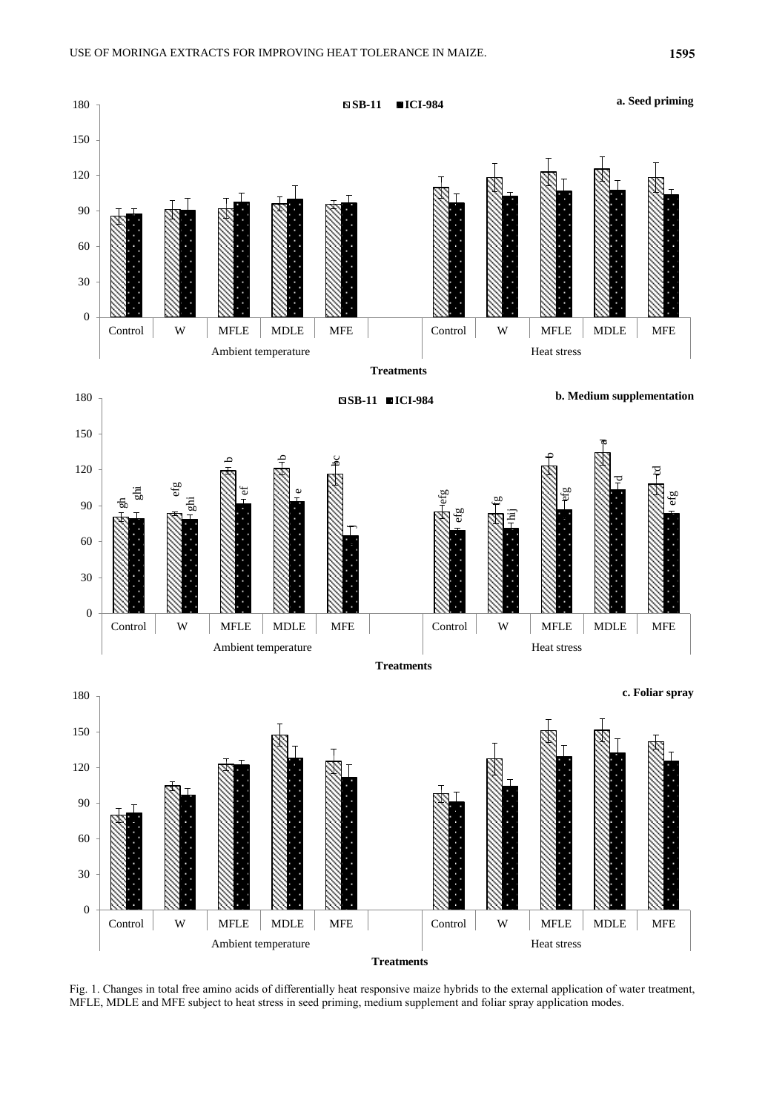

Fig. 1. Changes in total free amino acids of differentially heat responsive maize hybrids to the external application of water treatment, MFLE, MDLE and MFE subject to heat stress in seed priming, medium supplement and foliar spray application modes.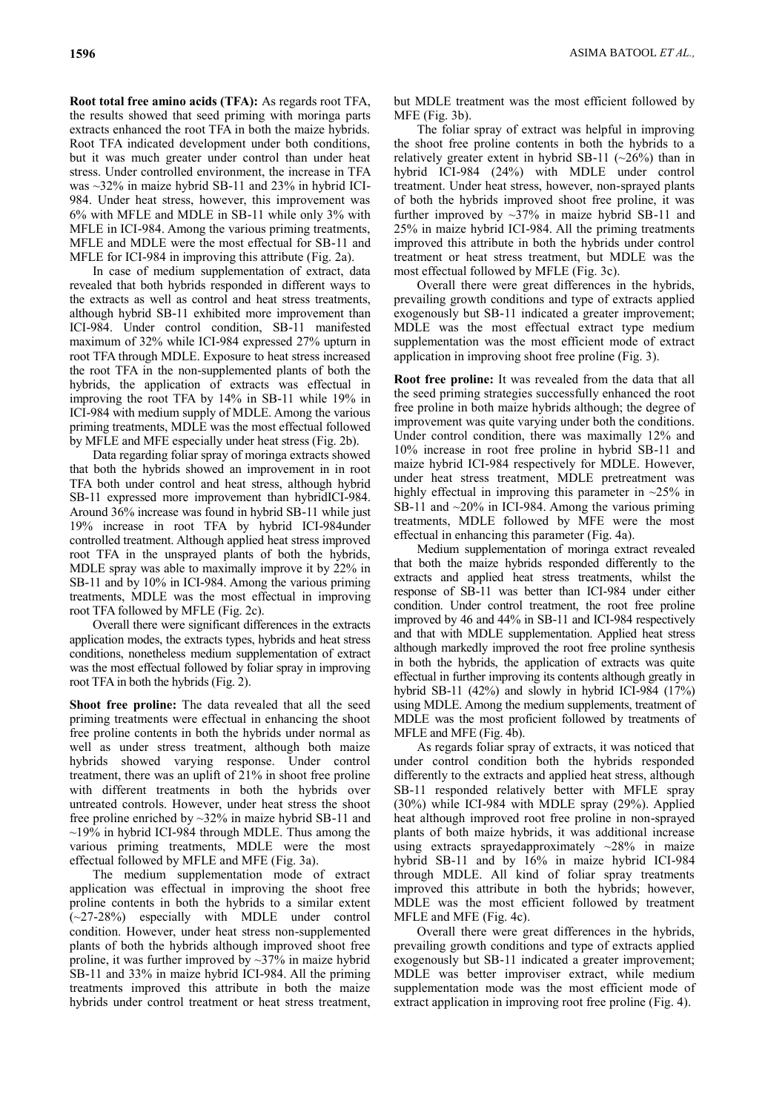**Root total free amino acids (TFA):** As regards root TFA, the results showed that seed priming with moringa parts extracts enhanced the root TFA in both the maize hybrids. Root TFA indicated development under both conditions, but it was much greater under control than under heat stress. Under controlled environment, the increase in TFA was ~32% in maize hybrid SB-11 and 23% in hybrid ICI-984. Under heat stress, however, this improvement was 6% with MFLE and MDLE in SB-11 while only 3% with MFLE in ICI-984. Among the various priming treatments, MFLE and MDLE were the most effectual for SB-11 and MFLE for ICI-984 in improving this attribute (Fig. 2a).

In case of medium supplementation of extract, data revealed that both hybrids responded in different ways to the extracts as well as control and heat stress treatments, although hybrid SB-11 exhibited more improvement than ICI-984. Under control condition, SB-11 manifested maximum of 32% while ICI-984 expressed 27% upturn in root TFA through MDLE. Exposure to heat stress increased the root TFA in the non-supplemented plants of both the hybrids, the application of extracts was effectual in improving the root TFA by 14% in SB-11 while 19% in ICI-984 with medium supply of MDLE. Among the various priming treatments, MDLE was the most effectual followed by MFLE and MFE especially under heat stress (Fig. 2b).

Data regarding foliar spray of moringa extracts showed that both the hybrids showed an improvement in in root TFA both under control and heat stress, although hybrid SB-11 expressed more improvement than hybridICI-984. Around 36% increase was found in hybrid SB-11 while just 19% increase in root TFA by hybrid ICI-984under controlled treatment. Although applied heat stress improved root TFA in the unsprayed plants of both the hybrids, MDLE spray was able to maximally improve it by 22% in SB-11 and by 10% in ICI-984. Among the various priming treatments, MDLE was the most effectual in improving root TFA followed by MFLE (Fig. 2c).

Overall there were significant differences in the extracts application modes, the extracts types, hybrids and heat stress conditions, nonetheless medium supplementation of extract was the most effectual followed by foliar spray in improving root TFA in both the hybrids (Fig. 2).

**Shoot free proline:** The data revealed that all the seed priming treatments were effectual in enhancing the shoot free proline contents in both the hybrids under normal as well as under stress treatment, although both maize hybrids showed varying response. Under control treatment, there was an uplift of 21% in shoot free proline with different treatments in both the hybrids over untreated controls. However, under heat stress the shoot free proline enriched by ~32% in maize hybrid SB-11 and  $\sim$ 19% in hybrid ICI-984 through MDLE. Thus among the various priming treatments, MDLE were the most effectual followed by MFLE and MFE (Fig. 3a).

The medium supplementation mode of extract application was effectual in improving the shoot free proline contents in both the hybrids to a similar extent (~27-28%) especially with MDLE under control condition. However, under heat stress non-supplemented plants of both the hybrids although improved shoot free proline, it was further improved by ~37% in maize hybrid SB-11 and 33% in maize hybrid ICI-984. All the priming treatments improved this attribute in both the maize hybrids under control treatment or heat stress treatment,

but MDLE treatment was the most efficient followed by MFE (Fig. 3b).

The foliar spray of extract was helpful in improving the shoot free proline contents in both the hybrids to a relatively greater extent in hybrid SB-11  $(\sim 26\%)$  than in hybrid ICI-984 (24%) with MDLE under control treatment. Under heat stress, however, non-sprayed plants of both the hybrids improved shoot free proline, it was further improved by  $\sim$ 37% in maize hybrid SB-11 and 25% in maize hybrid ICI-984. All the priming treatments improved this attribute in both the hybrids under control treatment or heat stress treatment, but MDLE was the most effectual followed by MFLE (Fig. 3c).

Overall there were great differences in the hybrids, prevailing growth conditions and type of extracts applied exogenously but SB-11 indicated a greater improvement; MDLE was the most effectual extract type medium supplementation was the most efficient mode of extract application in improving shoot free proline (Fig. 3).

**Root free proline:** It was revealed from the data that all the seed priming strategies successfully enhanced the root free proline in both maize hybrids although; the degree of improvement was quite varying under both the conditions. Under control condition, there was maximally 12% and 10% increase in root free proline in hybrid SB-11 and maize hybrid ICI-984 respectively for MDLE. However, under heat stress treatment, MDLE pretreatment was highly effectual in improving this parameter in  $\sim$ 25% in SB-11 and  $\sim$ 20% in ICI-984. Among the various priming treatments, MDLE followed by MFE were the most effectual in enhancing this parameter (Fig. 4a).

Medium supplementation of moringa extract revealed that both the maize hybrids responded differently to the extracts and applied heat stress treatments, whilst the response of SB-11 was better than ICI-984 under either condition. Under control treatment, the root free proline improved by 46 and 44% in SB-11 and ICI-984 respectively and that with MDLE supplementation. Applied heat stress although markedly improved the root free proline synthesis in both the hybrids, the application of extracts was quite effectual in further improving its contents although greatly in hybrid SB-11 (42%) and slowly in hybrid ICI-984 (17%) using MDLE. Among the medium supplements, treatment of MDLE was the most proficient followed by treatments of MFLE and MFE (Fig. 4b).

As regards foliar spray of extracts, it was noticed that under control condition both the hybrids responded differently to the extracts and applied heat stress, although SB-11 responded relatively better with MFLE spray (30%) while ICI-984 with MDLE spray (29%). Applied heat although improved root free proline in non-sprayed plants of both maize hybrids, it was additional increase using extracts sprayedapproximately ~28% in maize hybrid SB-11 and by 16% in maize hybrid ICI-984 through MDLE. All kind of foliar spray treatments improved this attribute in both the hybrids; however, MDLE was the most efficient followed by treatment MFLE and MFE (Fig. 4c).

Overall there were great differences in the hybrids, prevailing growth conditions and type of extracts applied exogenously but SB-11 indicated a greater improvement; MDLE was better improviser extract, while medium supplementation mode was the most efficient mode of extract application in improving root free proline (Fig. 4).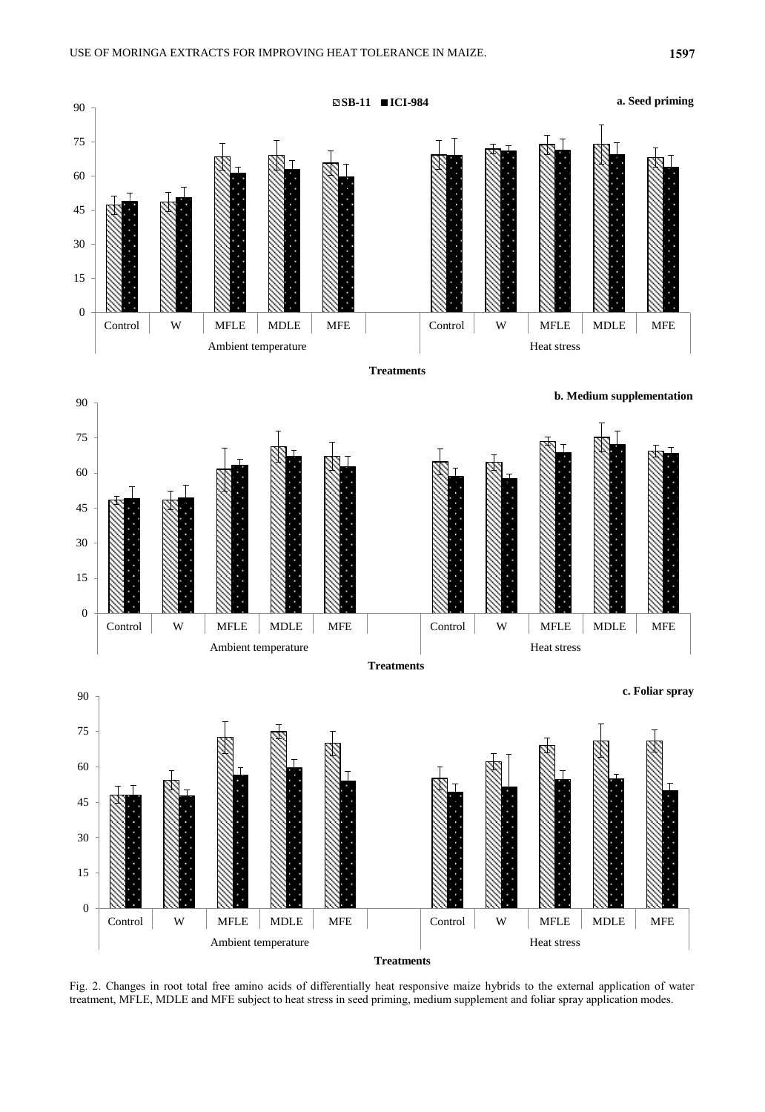

Fig. 2. Changes in root total free amino acids of differentially heat responsive maize hybrids to the external application of water treatment, MFLE, MDLE and MFE subject to heat stress in seed priming, medium supplement and foliar spray application modes.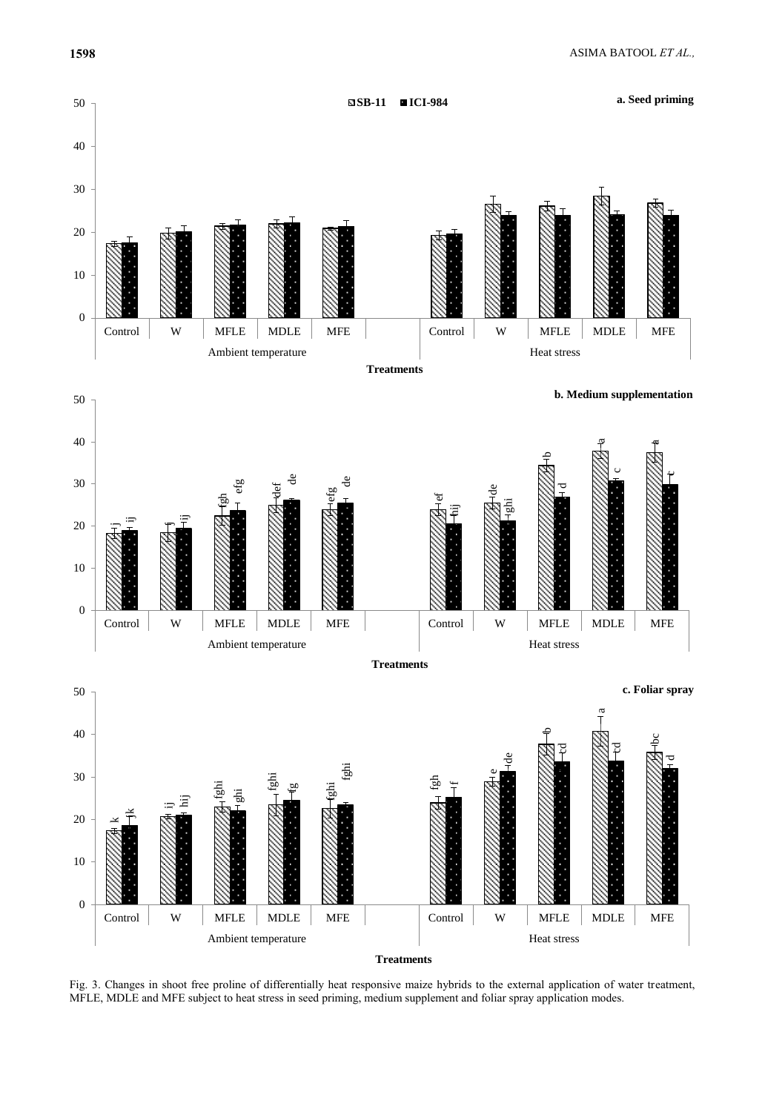



Fig. 3. Changes in shoot free proline of differentially heat responsive maize hybrids to the external application of water treatment, MFLE, MDLE and MFE subject to heat stress in seed priming, medium supplement and foliar spray application modes.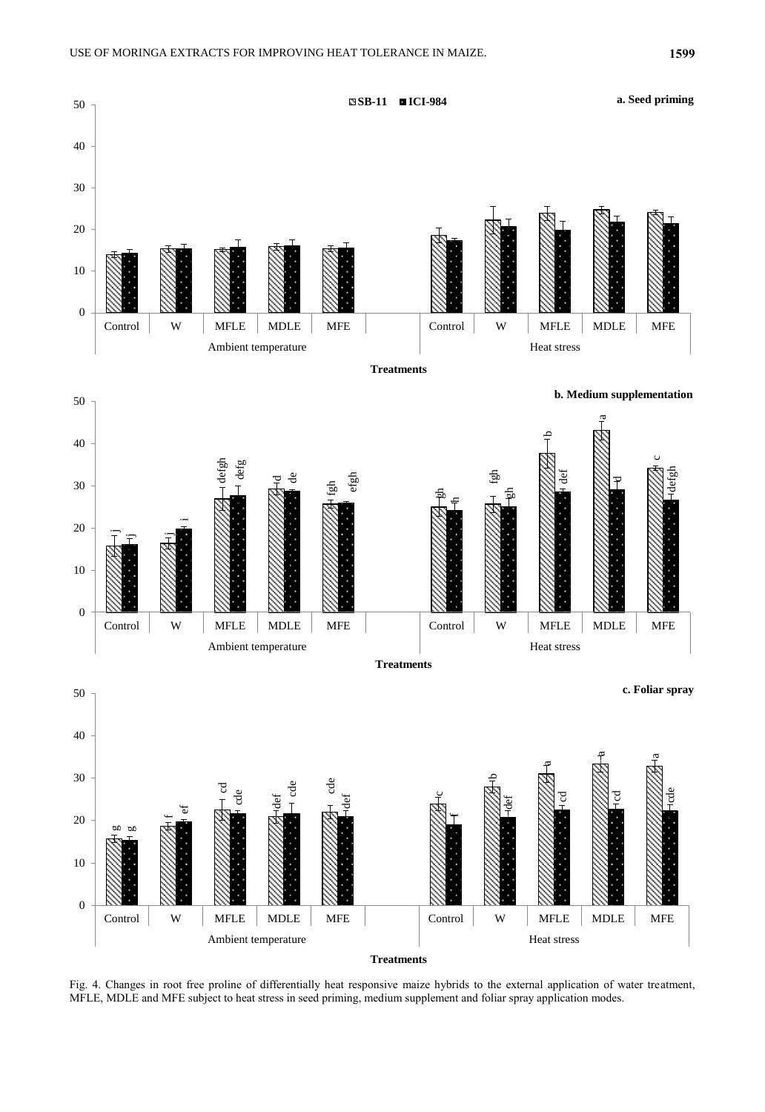

Fig. 4. Changes in root free proline of differentially heat responsive maize hybrids to the external application of water treatment, MFLE, MDLE and MFE subject to heat stress in seed priming, medium supplement and foliar spray application modes.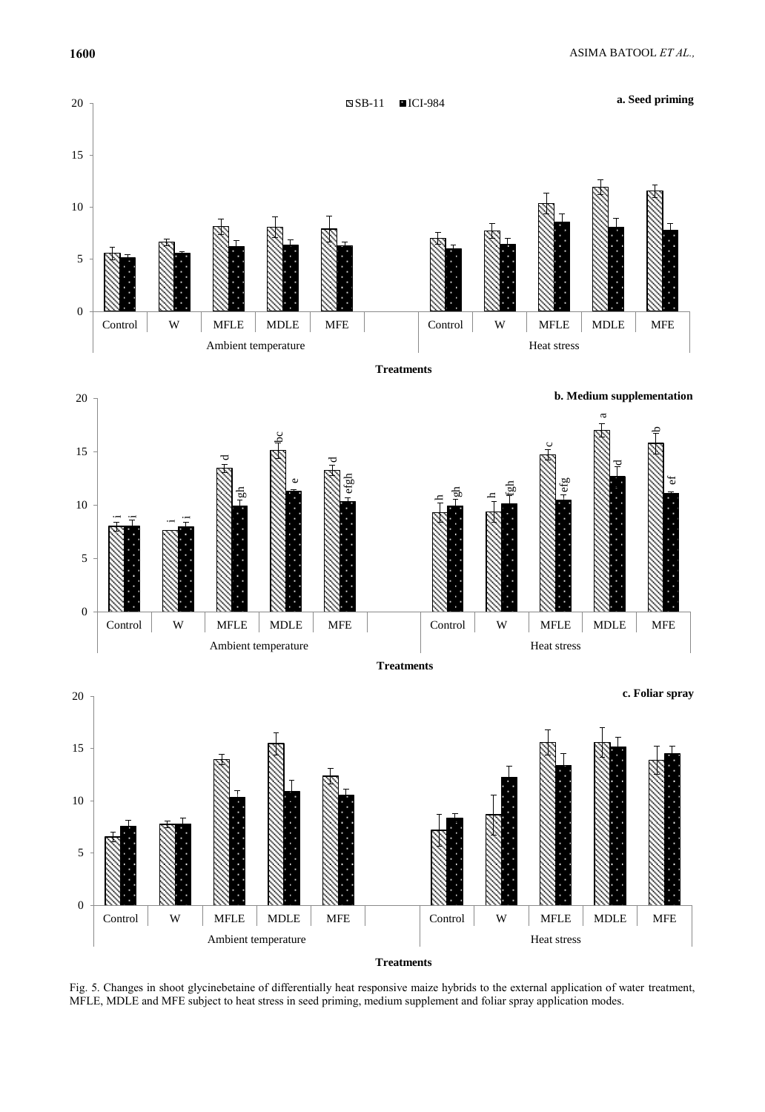

Fig. 5. Changes in shoot glycinebetaine of differentially heat responsive maize hybrids to the external application of water treatment, MFLE, MDLE and MFE subject to heat stress in seed priming, medium supplement and foliar spray application modes.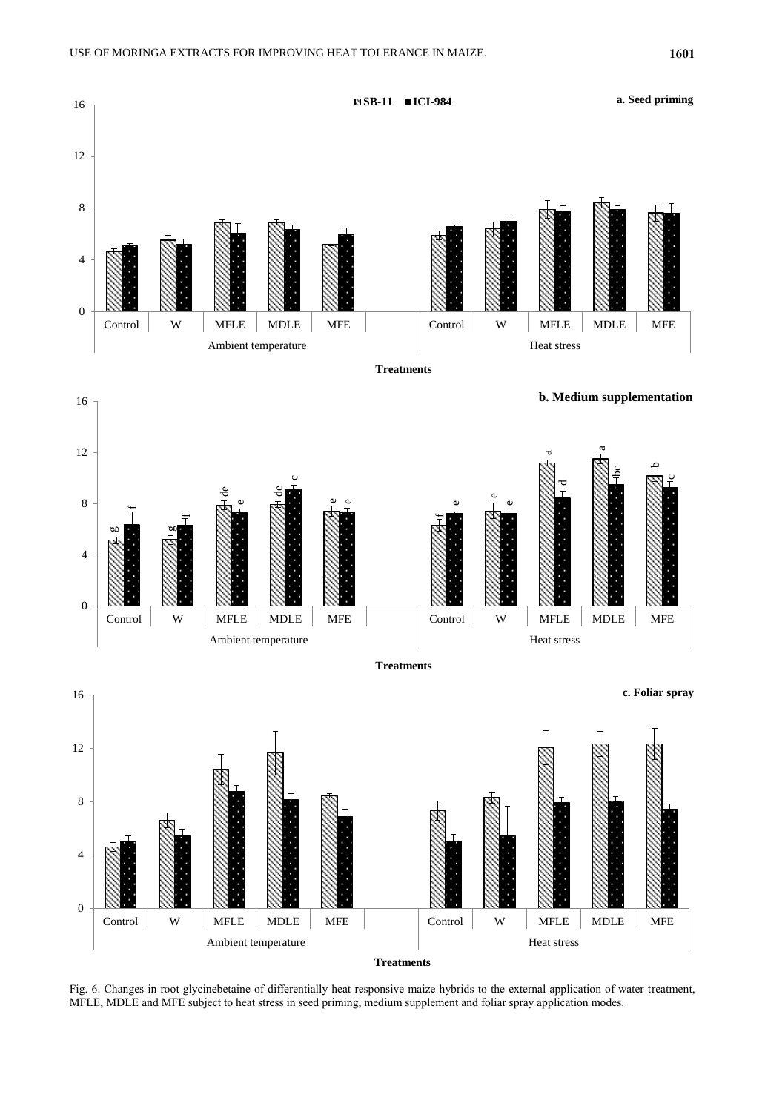

Fig. 6. Changes in root glycinebetaine of differentially heat responsive maize hybrids to the external application of water treatment, MFLE, MDLE and MFE subject to heat stress in seed priming, medium supplement and foliar spray application modes.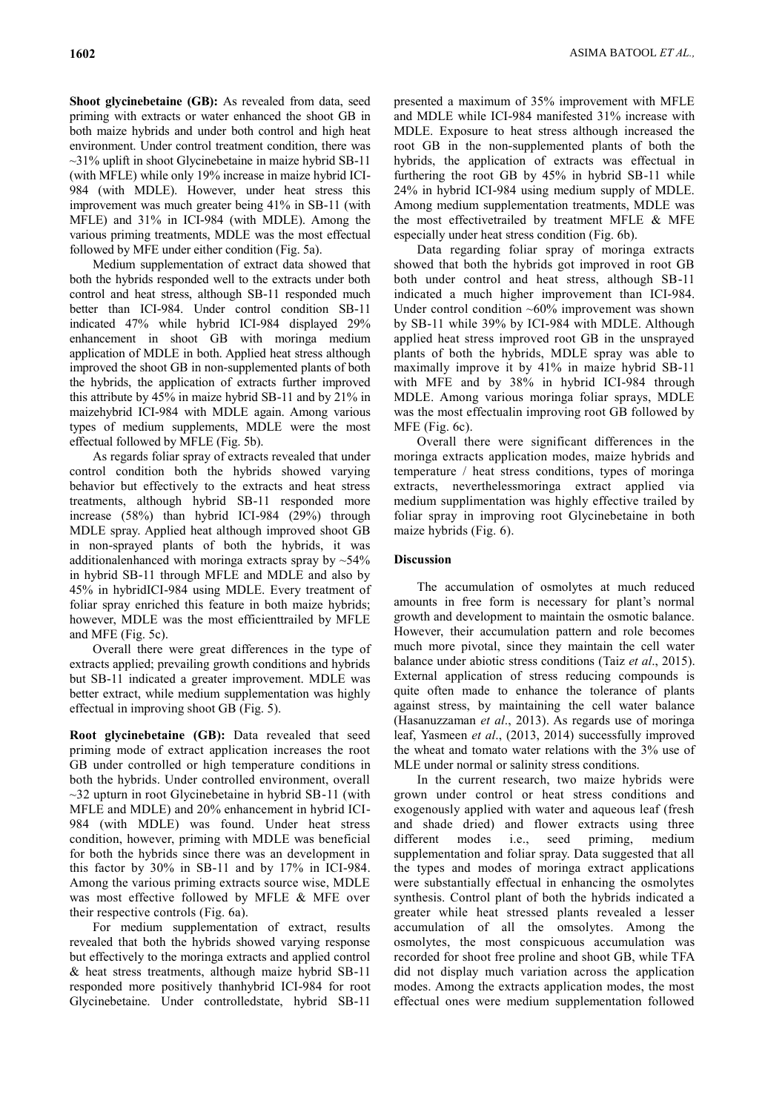**Shoot glycinebetaine (GB):** As revealed from data, seed priming with extracts or water enhanced the shoot GB in both maize hybrids and under both control and high heat environment. Under control treatment condition, there was ~31% uplift in shoot Glycinebetaine in maize hybrid SB-11 (with MFLE) while only 19% increase in maize hybrid ICI-984 (with MDLE). However, under heat stress this improvement was much greater being 41% in SB-11 (with MFLE) and 31% in ICI-984 (with MDLE). Among the various priming treatments, MDLE was the most effectual followed by MFE under either condition (Fig. 5a).

Medium supplementation of extract data showed that both the hybrids responded well to the extracts under both control and heat stress, although SB-11 responded much better than ICI-984. Under control condition SB-11 indicated 47% while hybrid ICI-984 displayed 29% enhancement in shoot GB with moringa medium application of MDLE in both. Applied heat stress although improved the shoot GB in non-supplemented plants of both the hybrids, the application of extracts further improved this attribute by 45% in maize hybrid SB-11 and by 21% in maizehybrid ICI-984 with MDLE again. Among various types of medium supplements, MDLE were the most effectual followed by MFLE (Fig. 5b).

As regards foliar spray of extracts revealed that under control condition both the hybrids showed varying behavior but effectively to the extracts and heat stress treatments, although hybrid SB-11 responded more increase (58%) than hybrid ICI-984 (29%) through MDLE spray. Applied heat although improved shoot GB in non-sprayed plants of both the hybrids, it was additionalenhanced with moringa extracts spray by  $\sim$ 54% in hybrid SB-11 through MFLE and MDLE and also by 45% in hybridICI-984 using MDLE. Every treatment of foliar spray enriched this feature in both maize hybrids; however, MDLE was the most efficienttrailed by MFLE and MFE (Fig. 5c).

Overall there were great differences in the type of extracts applied; prevailing growth conditions and hybrids but SB-11 indicated a greater improvement. MDLE was better extract, while medium supplementation was highly effectual in improving shoot GB (Fig. 5).

**Root glycinebetaine (GB):** Data revealed that seed priming mode of extract application increases the root GB under controlled or high temperature conditions in both the hybrids. Under controlled environment, overall ~32 upturn in root Glycinebetaine in hybrid SB-11 (with MFLE and MDLE) and 20% enhancement in hybrid ICI-984 (with MDLE) was found. Under heat stress condition, however, priming with MDLE was beneficial for both the hybrids since there was an development in this factor by 30% in SB-11 and by 17% in ICI-984. Among the various priming extracts source wise, MDLE was most effective followed by MFLE & MFE over their respective controls (Fig. 6a).

For medium supplementation of extract, results revealed that both the hybrids showed varying response but effectively to the moringa extracts and applied control & heat stress treatments, although maize hybrid SB-11 responded more positively thanhybrid ICI-984 for root Glycinebetaine. Under controlledstate, hybrid SB-11

presented a maximum of 35% improvement with MFLE and MDLE while ICI-984 manifested 31% increase with MDLE. Exposure to heat stress although increased the root GB in the non-supplemented plants of both the hybrids, the application of extracts was effectual in furthering the root GB by 45% in hybrid SB-11 while 24% in hybrid ICI-984 using medium supply of MDLE. Among medium supplementation treatments, MDLE was the most effectivetrailed by treatment MFLE & MFE especially under heat stress condition (Fig. 6b).

Data regarding foliar spray of moringa extracts showed that both the hybrids got improved in root GB both under control and heat stress, although SB-11 indicated a much higher improvement than ICI-984. Under control condition ~60% improvement was shown by SB-11 while 39% by ICI-984 with MDLE. Although applied heat stress improved root GB in the unsprayed plants of both the hybrids, MDLE spray was able to maximally improve it by 41% in maize hybrid SB-11 with MFE and by 38% in hybrid ICI-984 through MDLE. Among various moringa foliar sprays, MDLE was the most effectualin improving root GB followed by MFE (Fig. 6c).

Overall there were significant differences in the moringa extracts application modes, maize hybrids and temperature / heat stress conditions, types of moringa extracts, neverthelessmoringa extract applied via medium supplimentation was highly effective trailed by foliar spray in improving root Glycinebetaine in both maize hybrids (Fig. 6).

#### **Discussion**

The accumulation of osmolytes at much reduced amounts in free form is necessary for plant's normal growth and development to maintain the osmotic balance. However, their accumulation pattern and role becomes much more pivotal, since they maintain the cell water balance under abiotic stress conditions (Taiz *et al*., 2015). External application of stress reducing compounds is quite often made to enhance the tolerance of plants against stress, by maintaining the cell water balance (Hasanuzzaman *et al*., 2013). As regards use of moringa leaf, Yasmeen *et al*., (2013, 2014) successfully improved the wheat and tomato water relations with the 3% use of MLE under normal or salinity stress conditions.

In the current research, two maize hybrids were grown under control or heat stress conditions and exogenously applied with water and aqueous leaf (fresh and shade dried) and flower extracts using three different modes i.e., seed priming, medium supplementation and foliar spray. Data suggested that all the types and modes of moringa extract applications were substantially effectual in enhancing the osmolytes synthesis. Control plant of both the hybrids indicated a greater while heat stressed plants revealed a lesser accumulation of all the omsolytes. Among the osmolytes, the most conspicuous accumulation was recorded for shoot free proline and shoot GB, while TFA did not display much variation across the application modes. Among the extracts application modes, the most effectual ones were medium supplementation followed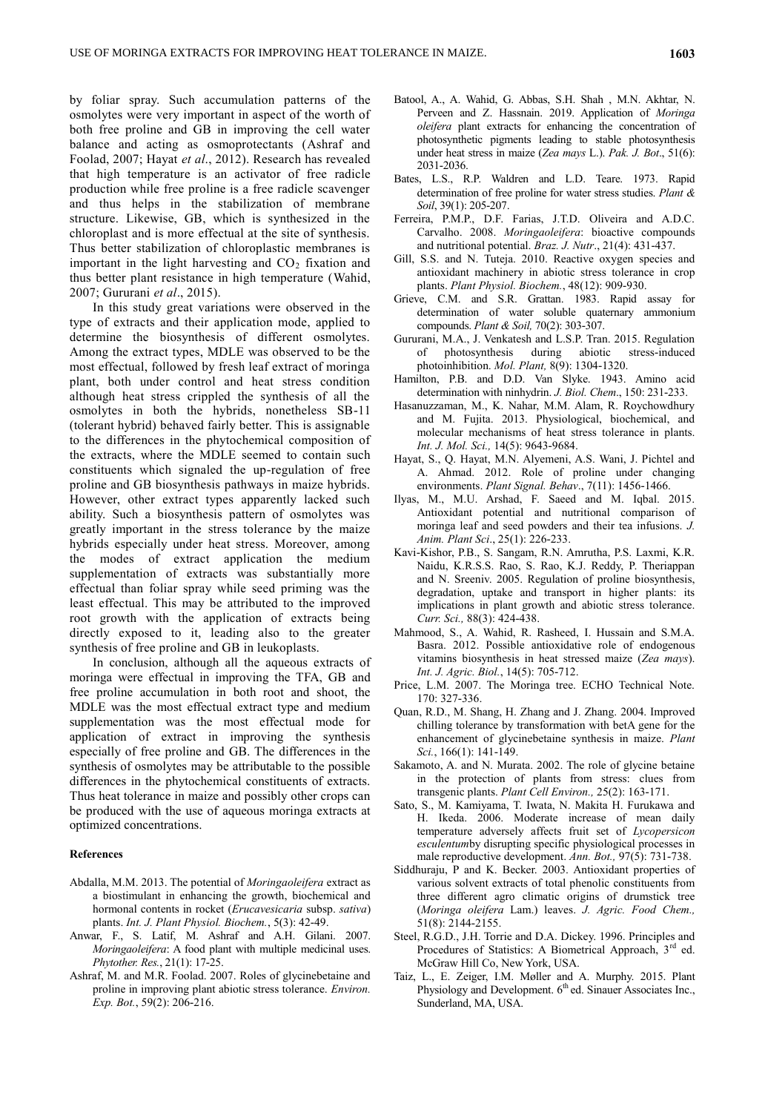by foliar spray. Such accumulation patterns of the osmolytes were very important in aspect of the worth of both free proline and GB in improving the cell water balance and acting as osmoprotectants (Ashraf and Foolad, 2007; Hayat *et al*., 2012). Research has revealed that high temperature is an activator of free radicle production while free proline is a free radicle scavenger and thus helps in the stabilization of membrane structure. Likewise, GB, which is synthesized in the chloroplast and is more effectual at the site of synthesis. Thus better stabilization of chloroplastic membranes is important in the light harvesting and  $CO<sub>2</sub>$  fixation and thus better plant resistance in high temperature (Wahid, 2007; Gururani *et al*., 2015).

In this study great variations were observed in the type of extracts and their application mode, applied to determine the biosynthesis of different osmolytes. Among the extract types, MDLE was observed to be the most effectual, followed by fresh leaf extract of moringa plant, both under control and heat stress condition although heat stress crippled the synthesis of all the osmolytes in both the hybrids, nonetheless SB-11 (tolerant hybrid) behaved fairly better. This is assignable to the differences in the phytochemical composition of the extracts, where the MDLE seemed to contain such constituents which signaled the up-regulation of free proline and GB biosynthesis pathways in maize hybrids. However, other extract types apparently lacked such ability. Such a biosynthesis pattern of osmolytes was greatly important in the stress tolerance by the maize hybrids especially under heat stress. Moreover, among the modes of extract application the medium supplementation of extracts was substantially more effectual than foliar spray while seed priming was the least effectual. This may be attributed to the improved root growth with the application of extracts being directly exposed to it, leading also to the greater synthesis of free proline and GB in leukoplasts.

In conclusion, although all the aqueous extracts of moringa were effectual in improving the TFA, GB and free proline accumulation in both root and shoot, the MDLE was the most effectual extract type and medium supplementation was the most effectual mode for application of extract in improving the synthesis especially of free proline and GB. The differences in the synthesis of osmolytes may be attributable to the possible differences in the phytochemical constituents of extracts. Thus heat tolerance in maize and possibly other crops can be produced with the use of aqueous moringa extracts at optimized concentrations.

#### **References**

- Abdalla, M.M. 2013. The potential of *Moringaoleifera* extract as a biostimulant in enhancing the growth, biochemical and hormonal contents in rocket (*Erucavesicaria* subsp. *sativa*) plants. *Int. J. Plant Physiol. Biochem.*, 5(3): 42-49.
- Anwar, F., S. Latif, M. Ashraf and A.H. Gilani. 2007. *Moringaoleifera*: A food plant with multiple medicinal uses. *Phytother. Res.*, 21(1): 17-25.
- Ashraf, M. and M.R. Foolad. 2007. Roles of glycinebetaine and proline in improving plant abiotic stress tolerance. *Environ. Exp. Bot.*, 59(2): 206-216.
- Batool, A., A. Wahid, G. Abbas, S.H. Shah , M.N. Akhtar, N. Perveen and Z. Hassnain. 2019. Application of *Moringa oleifera* plant extracts for enhancing the concentration of photosynthetic pigments leading to stable photosynthesis under heat stress in maize (*Zea mays* L.). *Pak. J. Bot*., 51(6): 2031-2036.
- Bates, L.S., R.P. Waldren and L.D. Teare. 1973. Rapid determination of free proline for water stress studies. *Plant & Soil*, 39(1): 205-207.
- Ferreira, P.M.P., D.F. Farias, J.T.D. Oliveira and A.D.C. Carvalho. 2008. *Moringaoleifera*: bioactive compounds and nutritional potential. *Braz. J. Nutr*., 21(4): 431-437.
- Gill, S.S. and N. Tuteja. 2010. Reactive oxygen species and antioxidant machinery in abiotic stress tolerance in crop plants. *Plant Physiol. Biochem.*, 48(12): 909-930.
- Grieve, C.M. and S.R. Grattan. 1983. Rapid assay for determination of water soluble quaternary ammonium compounds. *Plant & Soil,* 70(2): 303-307.
- Gururani, M.A., J. Venkatesh and L.S.P. Tran. 2015. Regulation of photosynthesis during abiotic stress-induced photoinhibition. *Mol. Plant,* 8(9): 1304-1320.
- Hamilton, P.B. and D.D. Van Slyke. 1943. Amino acid determination with ninhydrin. *J. Biol. Chem*., 150: 231-233.
- Hasanuzzaman, M., K. Nahar, M.M. Alam, R. Roychowdhury and M. Fujita. 2013. Physiological, biochemical, and molecular mechanisms of heat stress tolerance in plants. *Int. J. Mol. Sci.,* 14(5): 9643-9684.
- Hayat, S., Q. Hayat, M.N. Alyemeni, A.S. Wani, J. Pichtel and A. Ahmad. 2012. Role of proline under changing environments. *Plant Signal. Behav*., 7(11): 1456-1466.
- Ilyas, M., M.U. Arshad, F. Saeed and M. Iqbal. 2015. Antioxidant potential and nutritional comparison of moringa leaf and seed powders and their tea infusions. *J. Anim. Plant Sci*., 25(1): 226-233.
- Kavi-Kishor, P.B., S. Sangam, R.N. Amrutha, P.S. Laxmi, K.R. Naidu, K.R.S.S. Rao, S. Rao, K.J. Reddy, P. Theriappan and N. Sreeniv. 2005. Regulation of proline biosynthesis, degradation, uptake and transport in higher plants: its implications in plant growth and abiotic stress tolerance. *Curr. Sci.,* 88(3): 424-438.
- Mahmood, S., A. Wahid, R. Rasheed, I. Hussain and S.M.A. Basra. 2012. Possible antioxidative role of endogenous vitamins biosynthesis in heat stressed maize (*Zea mays*). *Int. J. Agric. Biol.*, 14(5): 705-712.
- Price, L.M. 2007. The Moringa tree. ECHO Technical Note. 170: 327-336.
- Quan, R.D., M. Shang, H. Zhang and J. Zhang. 2004. Improved chilling tolerance by transformation with betA gene for the enhancement of glycinebetaine synthesis in maize. *Plant Sci.*, 166(1): 141-149.
- Sakamoto, A. and N. Murata. 2002. The role of glycine betaine in the protection of plants from stress: clues from transgenic plants. *Plant Cell Environ.,* 25(2): 163-171.
- Sato, S., M. Kamiyama, T. Iwata, N. Makita H. Furukawa and H. Ikeda. 2006. Moderate increase of mean daily temperature adversely affects fruit set of *Lycopersicon esculentum*by disrupting specific physiological processes in male reproductive development. *Ann. Bot.,* 97(5): 731-738.
- Siddhuraju, P and K. Becker. 2003. Antioxidant properties of various solvent extracts of total phenolic constituents from three different agro climatic origins of drumstick tree (*Moringa oleifera* Lam.) leaves. *J. Agric. Food Chem.,* 51(8): 2144-2155.
- Steel, R.G.D., J.H. Torrie and D.A. Dickey. 1996. Principles and Procedures of Statistics: A Biometrical Approach, 3<sup>rd</sup> ed. McGraw Hill Co, New York, USA.
- Taiz, L., E. Zeiger, I.M. Møller and A. Murphy. 2015. Plant Physiology and Development.  $6<sup>th</sup>$  ed. Sinauer Associates Inc., Sunderland, MA, USA.